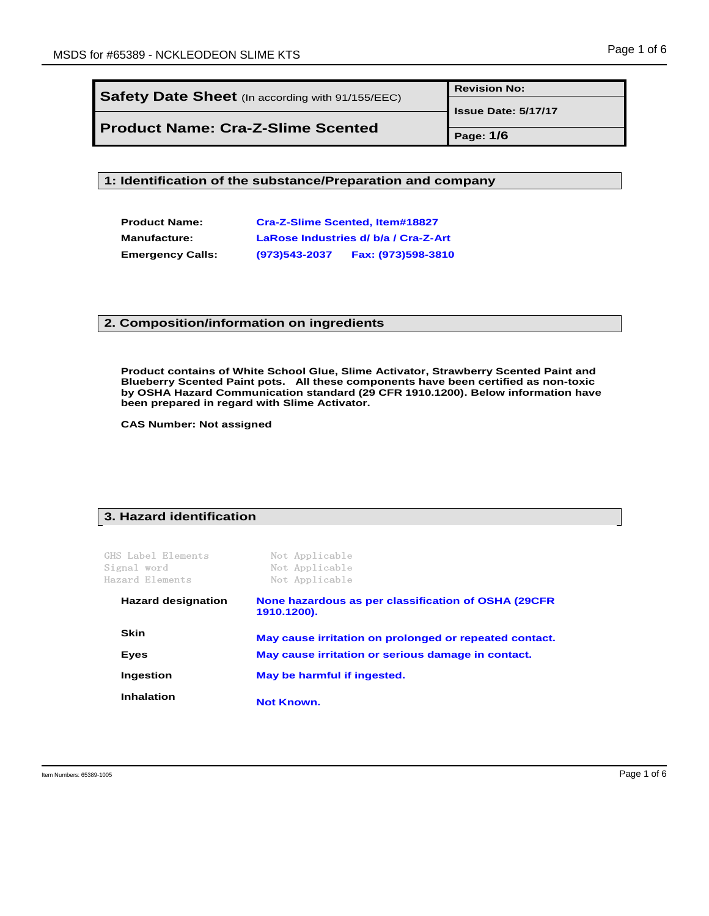Ξ

|                                                  | <b>Revision No:</b>        |
|--------------------------------------------------|----------------------------|
| Safety Date Sheet (In according with 91/155/EEC) | <b>Issue Date: 5/17/17</b> |
| <b>Product Name: Cra-Z-Slime Scented</b>         |                            |
|                                                  | Page: 1/6                  |

**1: Identification of the substance/Preparation and company**

| <b>Product Name:</b>    | Cra-Z-Slime Scented, Item#18827      |                    |  |
|-------------------------|--------------------------------------|--------------------|--|
| <b>Manufacture:</b>     | LaRose Industries d/ b/a / Cra-Z-Art |                    |  |
| <b>Emergency Calls:</b> | $(973)543 - 2037$                    | Fax: (973)598-3810 |  |

#### **2. Composition/information on ingredients**

**Product contains of White School Glue, Slime Activator, Strawberry Scented Paint and Blueberry Scented Paint pots. All these components have been certified as non-toxic by OSHA Hazard Communication standard (29 CFR 1910.1200). Below information have been prepared in regard with Slime Activator.**

**CAS Number: Not assigned**

#### **3. Hazard identification**

GHS Label Elements Not Applicable

| Signal word               | Not Applicable                                                      |
|---------------------------|---------------------------------------------------------------------|
| Hazard Elements           | Not Applicable                                                      |
| <b>Hazard designation</b> | None hazardous as per classification of OSHA (29CFR)<br>1910.1200). |
| <b>Skin</b>               | May cause irritation on prolonged or repeated contact.              |
| <b>Eves</b>               | May cause irritation or serious damage in contact.                  |
| Ingestion                 | May be harmful if ingested.                                         |
| <b>Inhalation</b>         | <b>Not Known.</b>                                                   |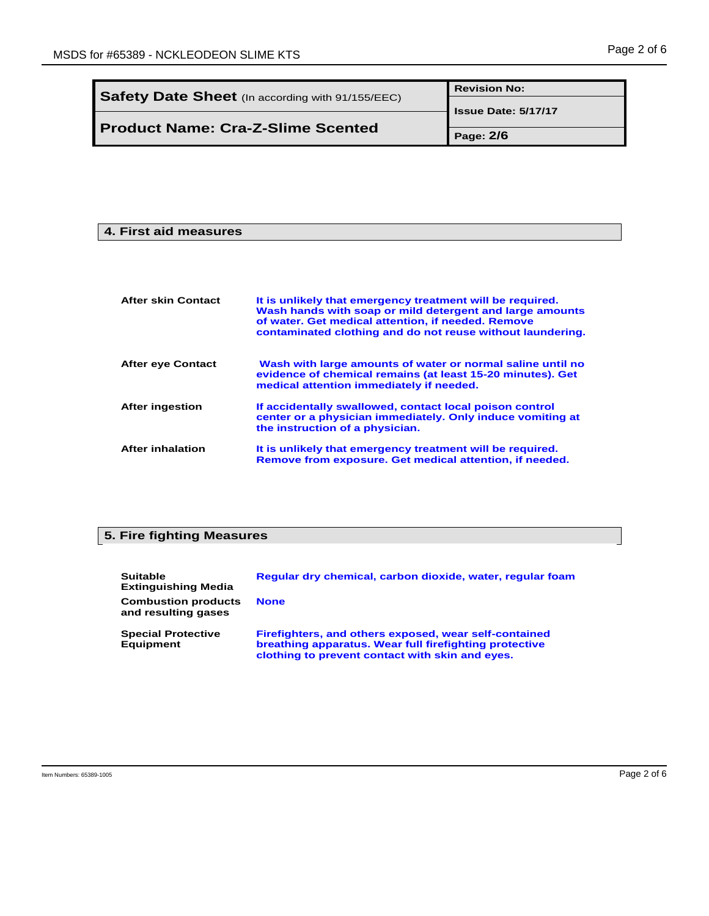|                                                  | <b>Revision No:</b>        |
|--------------------------------------------------|----------------------------|
| Safety Date Sheet (In according with 91/155/EEC) | <b>Issue Date: 5/17/17</b> |
| <b>Product Name: Cra-Z-Slime Scented</b>         |                            |
|                                                  | Page: 2/6                  |

#### **4. First aid measures**

| <b>After skin Contact</b> | It is unlikely that emergency treatment will be required.<br>Wash hands with soap or mild detergent and large amounts<br>of water. Get medical attention, if needed. Remove<br>contaminated clothing and do not reuse without laundering. |
|---------------------------|-------------------------------------------------------------------------------------------------------------------------------------------------------------------------------------------------------------------------------------------|
| <b>After eye Contact</b>  | Wash with large amounts of water or normal saline until no<br>evidence of chemical remains (at least 15-20 minutes). Get<br>medical attention immediately if needed.                                                                      |
| <b>After ingestion</b>    | If accidentally swallowed, contact local poison control<br>center or a physician immediately. Only induce vomiting at<br>the instruction of a physician.                                                                                  |
| <b>After inhalation</b>   | It is unlikely that emergency treatment will be required.<br>Remove from exposure. Get medical attention, if needed.                                                                                                                      |

# **5. Fire fighting Measures**

| <b>Suitable</b><br><b>Extinguishing Media</b>     | Reqular dry chemical, carbon dioxide, water, reqular foam                                                                                                          |
|---------------------------------------------------|--------------------------------------------------------------------------------------------------------------------------------------------------------------------|
| <b>Combustion products</b><br>and resulting gases | <b>None</b>                                                                                                                                                        |
| <b>Special Protective</b><br><b>Equipment</b>     | Firefighters, and others exposed, wear self-contained<br>breathing apparatus. Wear full firefighting protective<br>clothing to prevent contact with skin and eyes. |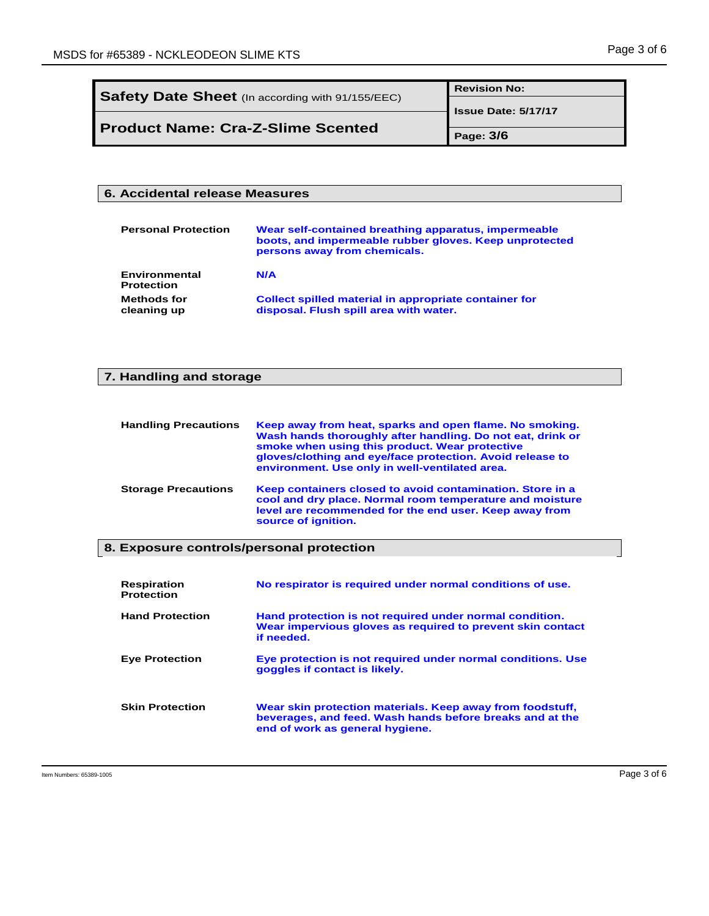Ξ

|                                                         | <b>Revision No:</b>        |
|---------------------------------------------------------|----------------------------|
| <b>Safety Date Sheet</b> (In according with 91/155/EEC) | <b>Issue Date: 5/17/17</b> |
|                                                         |                            |
| <b>Product Name: Cra-Z-Slime Scented</b>                | Page: 3/6                  |

#### **6. Accidental release Measures**

| <b>Personal Protection</b>         | Wear self-contained breathing apparatus, impermeable<br>boots, and impermeable rubber gloves. Keep unprotected<br>persons away from chemicals. |
|------------------------------------|------------------------------------------------------------------------------------------------------------------------------------------------|
| Environmental<br><b>Protection</b> | N/A                                                                                                                                            |
| <b>Methods for</b><br>cleaning up  | Collect spilled material in appropriate container for<br>disposal. Flush spill area with water.                                                |

# **7. Handling and storage**

| <b>Handling Precautions</b> | Keep away from heat, sparks and open flame. No smoking.<br>Wash hands thoroughly after handling. Do not eat, drink or<br>smoke when using this product. Wear protective<br>gloves/clothing and eye/face protection. Avoid release to<br>environment. Use only in well-ventilated area. |
|-----------------------------|----------------------------------------------------------------------------------------------------------------------------------------------------------------------------------------------------------------------------------------------------------------------------------------|
| <b>Storage Precautions</b>  | Keep containers closed to avoid contamination. Store in a<br>cool and dry place. Normal room temperature and moisture<br>level are recommended for the end user. Keep away from<br>source of ignition.                                                                                 |

## **8. Exposure controls/personal protection**

| <b>Respiration</b><br><b>Protection</b> | No respirator is required under normal conditions of use.                                                                                                |
|-----------------------------------------|----------------------------------------------------------------------------------------------------------------------------------------------------------|
| <b>Hand Protection</b>                  | Hand protection is not required under normal condition.<br>Wear impervious gloves as required to prevent skin contact<br>if needed.                      |
| <b>Eye Protection</b>                   | Eye protection is not required under normal conditions. Use<br>goggles if contact is likely.                                                             |
| <b>Skin Protection</b>                  | Wear skin protection materials. Keep away from foodstuff,<br>beverages, and feed. Wash hands before breaks and at the<br>end of work as general hygiene. |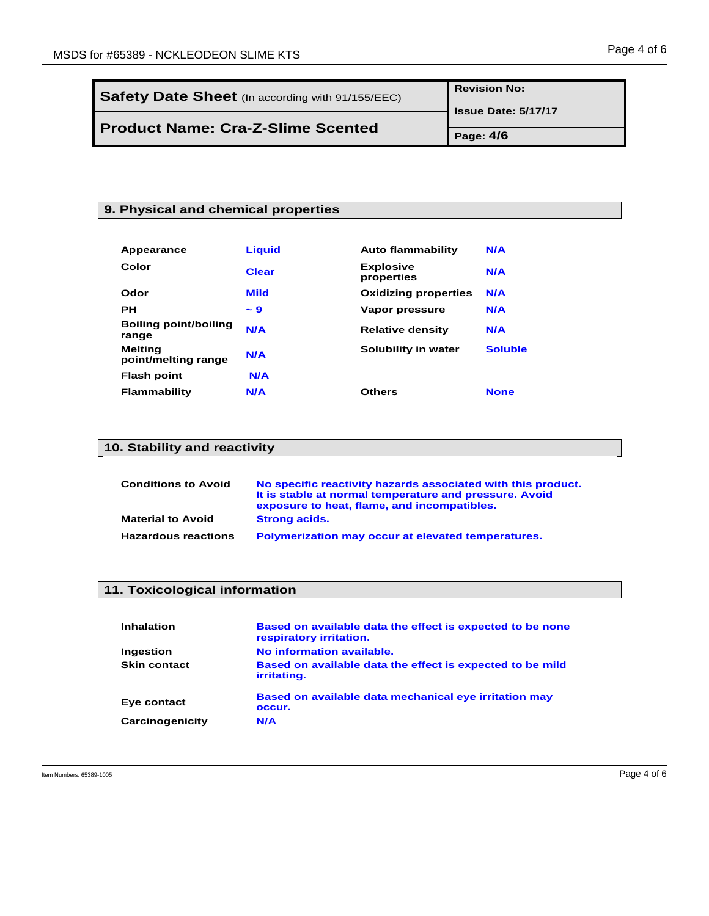Ξ

|                                                  | <b>Revision No:</b>        |
|--------------------------------------------------|----------------------------|
| Safety Date Sheet (In according with 91/155/EEC) | <b>Issue Date: 5/17/17</b> |
| <b>Product Name: Cra-Z-Slime Scented</b>         |                            |
|                                                  | Page: 4/6                  |

#### **9. Physical and chemical properties**

| Appearance                            | <b>Liquid</b> | <b>Auto flammability</b>       | N/A            |
|---------------------------------------|---------------|--------------------------------|----------------|
| Color                                 | <b>Clear</b>  | <b>Explosive</b><br>properties | N/A            |
| Odor                                  | <b>Mild</b>   | <b>Oxidizing properties</b>    | N/A            |
| PН                                    | $-9$          | Vapor pressure                 | N/A            |
| <b>Boiling point/boiling</b><br>range | N/A           | <b>Relative density</b>        | N/A            |
| <b>Melting</b><br>point/melting range | N/A           | Solubility in water            | <b>Soluble</b> |
| <b>Flash point</b>                    | N/A           |                                |                |
| Flammability                          | N/A           | <b>Others</b>                  | <b>None</b>    |

# **10. Stability and reactivity**

| <b>Conditions to Avoid</b> | No specific reactivity hazards associated with this product.<br>It is stable at normal temperature and pressure. Avoid<br>exposure to heat, flame, and incompatibles. |
|----------------------------|-----------------------------------------------------------------------------------------------------------------------------------------------------------------------|
| <b>Material to Avoid</b>   | <b>Strong acids.</b>                                                                                                                                                  |
| <b>Hazardous reactions</b> | Polymerization may occur at elevated temperatures.                                                                                                                    |

## **11. Toxicological information**

| <b>Inhalation</b>   | Based on available data the effect is expected to be none<br>respiratory irritation. |
|---------------------|--------------------------------------------------------------------------------------|
| Ingestion           | No information available.                                                            |
| <b>Skin contact</b> | Based on available data the effect is expected to be mild<br>irritating.             |
| Eye contact         | Based on available data mechanical eye irritation may<br>occur.                      |
| Carcinogenicity     | N/A                                                                                  |

Ξ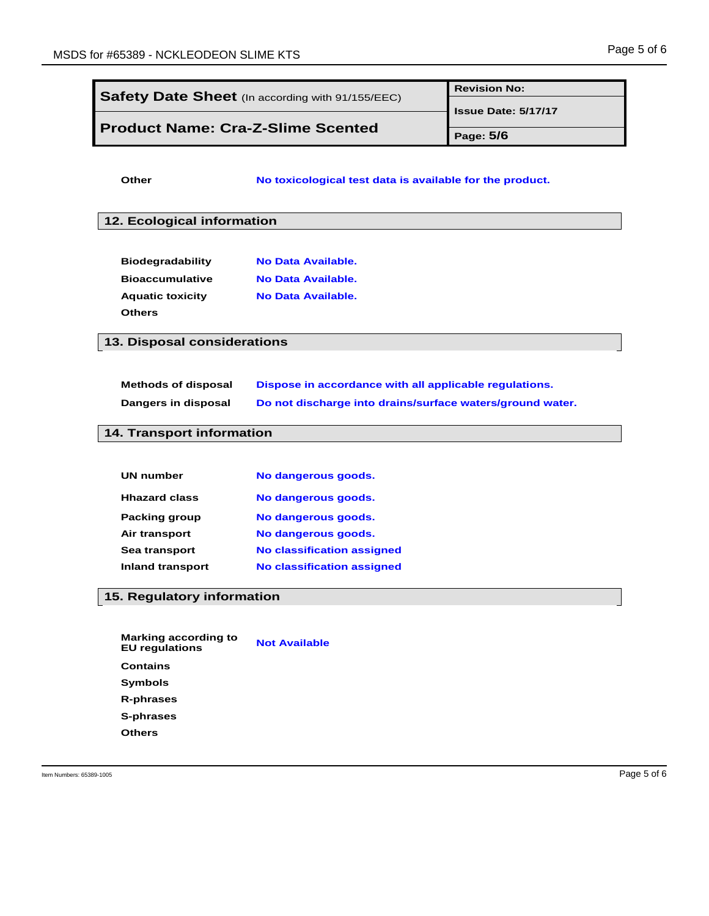| Safety Date Sheet (In according with 91/155/EEC)     |                                                           | <b>Revision No:</b>        |
|------------------------------------------------------|-----------------------------------------------------------|----------------------------|
| <b>Product Name: Cra-Z-Slime Scented</b>             |                                                           | <b>Issue Date: 5/17/17</b> |
|                                                      |                                                           | Page: 5/6                  |
| <b>Other</b>                                         | No toxicological test data is available for the product.  |                            |
|                                                      |                                                           |                            |
| 12. Ecological information                           |                                                           |                            |
|                                                      |                                                           |                            |
| <b>Biodegradability</b>                              | <b>No Data Available.</b>                                 |                            |
| <b>Bioaccumulative</b>                               | <b>No Data Available.</b>                                 |                            |
| <b>Aquatic toxicity</b><br><b>Others</b>             | <b>No Data Available.</b>                                 |                            |
| 13. Disposal considerations                          |                                                           |                            |
|                                                      |                                                           |                            |
| <b>Methods of disposal</b>                           | Dispose in accordance with all applicable regulations.    |                            |
| Dangers in disposal                                  | Do not discharge into drains/surface waters/ground water. |                            |
| 14. Transport information                            |                                                           |                            |
|                                                      |                                                           |                            |
| <b>UN number</b>                                     | No dangerous goods.                                       |                            |
| <b>Hhazard class</b>                                 | No dangerous goods.                                       |                            |
| <b>Packing group</b>                                 | No dangerous goods.                                       |                            |
| Air transport                                        | No dangerous goods.                                       |                            |
| Sea transport                                        | <b>No classification assigned</b>                         |                            |
| <b>Inland transport</b>                              | <b>No classification assigned</b>                         |                            |
| 15. Regulatory information                           |                                                           |                            |
|                                                      |                                                           |                            |
| <b>Marking according to</b><br><b>EU</b> regulations | <b>Not Available</b>                                      |                            |
| <b>Contains</b>                                      |                                                           |                            |
| <b>Symbols</b>                                       |                                                           |                            |
| <b>R-phrases</b>                                     |                                                           |                            |
|                                                      |                                                           |                            |
| S-phrases                                            |                                                           |                            |
| <b>Others</b>                                        |                                                           |                            |